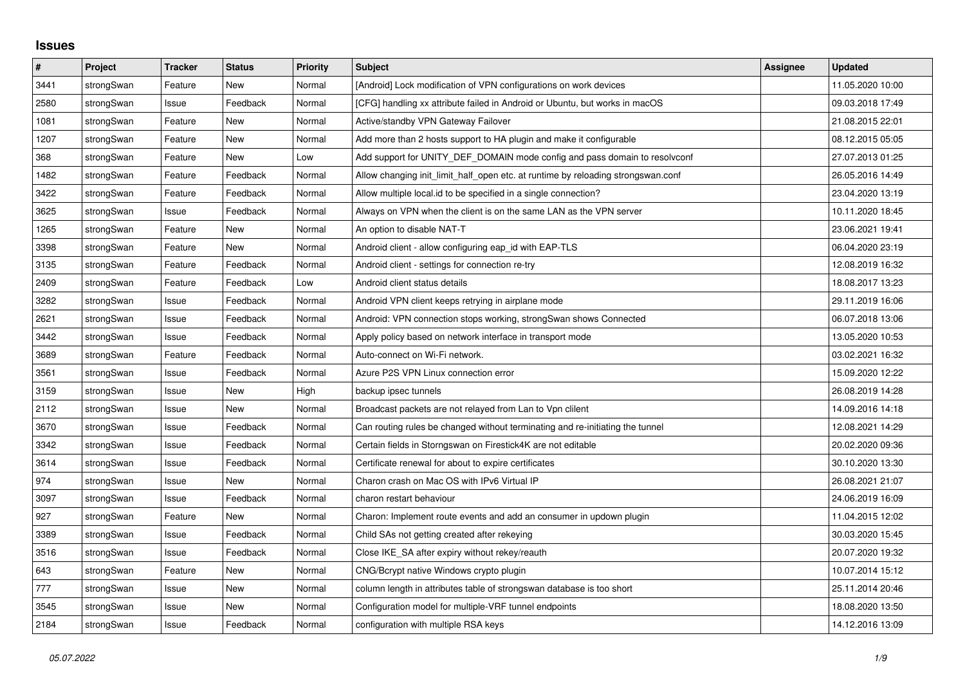## **Issues**

| #    | Project    | <b>Tracker</b> | <b>Status</b> | <b>Priority</b> | <b>Subject</b>                                                                   | <b>Assignee</b> | <b>Updated</b>   |
|------|------------|----------------|---------------|-----------------|----------------------------------------------------------------------------------|-----------------|------------------|
| 3441 | strongSwan | Feature        | <b>New</b>    | Normal          | [Android] Lock modification of VPN configurations on work devices                |                 | 11.05.2020 10:00 |
| 2580 | strongSwan | Issue          | Feedback      | Normal          | [CFG] handling xx attribute failed in Android or Ubuntu, but works in macOS      |                 | 09.03.2018 17:49 |
| 1081 | strongSwan | Feature        | New           | Normal          | Active/standby VPN Gateway Failover                                              |                 | 21.08.2015 22:01 |
| 1207 | strongSwan | Feature        | <b>New</b>    | Normal          | Add more than 2 hosts support to HA plugin and make it configurable              |                 | 08.12.2015 05:05 |
| 368  | strongSwan | Feature        | <b>New</b>    | Low             | Add support for UNITY DEF DOMAIN mode config and pass domain to resolveonf       |                 | 27.07.2013 01:25 |
| 1482 | strongSwan | Feature        | Feedback      | Normal          | Allow changing init_limit_half_open etc. at runtime by reloading strongswan.conf |                 | 26.05.2016 14:49 |
| 3422 | strongSwan | Feature        | Feedback      | Normal          | Allow multiple local id to be specified in a single connection?                  |                 | 23.04.2020 13:19 |
| 3625 | strongSwan | Issue          | Feedback      | Normal          | Always on VPN when the client is on the same LAN as the VPN server               |                 | 10.11.2020 18:45 |
| 1265 | strongSwan | Feature        | New           | Normal          | An option to disable NAT-T                                                       |                 | 23.06.2021 19:41 |
| 3398 | strongSwan | Feature        | <b>New</b>    | Normal          | Android client - allow configuring eap id with EAP-TLS                           |                 | 06.04.2020 23:19 |
| 3135 | strongSwan | Feature        | Feedback      | Normal          | Android client - settings for connection re-try                                  |                 | 12.08.2019 16:32 |
| 2409 | strongSwan | Feature        | Feedback      | Low             | Android client status details                                                    |                 | 18.08.2017 13:23 |
| 3282 | strongSwan | Issue          | Feedback      | Normal          | Android VPN client keeps retrying in airplane mode                               |                 | 29.11.2019 16:06 |
| 2621 | strongSwan | Issue          | Feedback      | Normal          | Android: VPN connection stops working, strongSwan shows Connected                |                 | 06.07.2018 13:06 |
| 3442 | strongSwan | Issue          | Feedback      | Normal          | Apply policy based on network interface in transport mode                        |                 | 13.05.2020 10:53 |
| 3689 | strongSwan | Feature        | Feedback      | Normal          | Auto-connect on Wi-Fi network.                                                   |                 | 03.02.2021 16:32 |
| 3561 | strongSwan | Issue          | Feedback      | Normal          | Azure P2S VPN Linux connection error                                             |                 | 15.09.2020 12:22 |
| 3159 | strongSwan | Issue          | New           | High            | backup ipsec tunnels                                                             |                 | 26.08.2019 14:28 |
| 2112 | strongSwan | Issue          | <b>New</b>    | Normal          | Broadcast packets are not relayed from Lan to Vpn clilent                        |                 | 14.09.2016 14:18 |
| 3670 | strongSwan | Issue          | Feedback      | Normal          | Can routing rules be changed without terminating and re-initiating the tunnel    |                 | 12.08.2021 14:29 |
| 3342 | strongSwan | Issue          | Feedback      | Normal          | Certain fields in Storngswan on Firestick4K are not editable                     |                 | 20.02.2020 09:36 |
| 3614 | strongSwan | Issue          | Feedback      | Normal          | Certificate renewal for about to expire certificates                             |                 | 30.10.2020 13:30 |
| 974  | strongSwan | Issue          | <b>New</b>    | Normal          | Charon crash on Mac OS with IPv6 Virtual IP                                      |                 | 26.08.2021 21:07 |
| 3097 | strongSwan | Issue          | Feedback      | Normal          | charon restart behaviour                                                         |                 | 24.06.2019 16:09 |
| 927  | strongSwan | Feature        | New           | Normal          | Charon: Implement route events and add an consumer in updown plugin              |                 | 11.04.2015 12:02 |
| 3389 | strongSwan | Issue          | Feedback      | Normal          | Child SAs not getting created after rekeying                                     |                 | 30.03.2020 15:45 |
| 3516 | strongSwan | Issue          | Feedback      | Normal          | Close IKE_SA after expiry without rekey/reauth                                   |                 | 20.07.2020 19:32 |
| 643  | strongSwan | Feature        | New           | Normal          | CNG/Bcrypt native Windows crypto plugin                                          |                 | 10.07.2014 15:12 |
| 777  | strongSwan | Issue          | <b>New</b>    | Normal          | column length in attributes table of strongswan database is too short            |                 | 25.11.2014 20:46 |
| 3545 | strongSwan | Issue          | <b>New</b>    | Normal          | Configuration model for multiple-VRF tunnel endpoints                            |                 | 18.08.2020 13:50 |
| 2184 | strongSwan | Issue          | Feedback      | Normal          | configuration with multiple RSA keys                                             |                 | 14.12.2016 13:09 |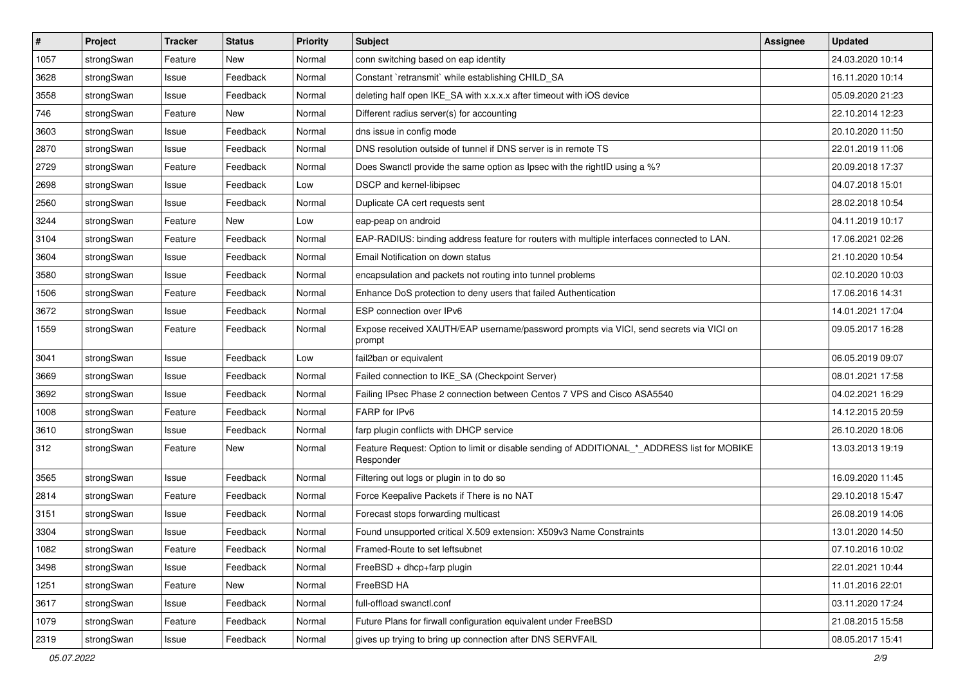| $\pmb{\#}$ | Project    | <b>Tracker</b> | <b>Status</b> | <b>Priority</b> | <b>Subject</b>                                                                                           | <b>Assignee</b> | <b>Updated</b>   |
|------------|------------|----------------|---------------|-----------------|----------------------------------------------------------------------------------------------------------|-----------------|------------------|
| 1057       | strongSwan | Feature        | New           | Normal          | conn switching based on eap identity                                                                     |                 | 24.03.2020 10:14 |
| 3628       | strongSwan | Issue          | Feedback      | Normal          | Constant `retransmit` while establishing CHILD_SA                                                        |                 | 16.11.2020 10:14 |
| 3558       | strongSwan | Issue          | Feedback      | Normal          | deleting half open IKE_SA with x.x.x.x after timeout with iOS device                                     |                 | 05.09.2020 21:23 |
| 746        | strongSwan | Feature        | New           | Normal          | Different radius server(s) for accounting                                                                |                 | 22.10.2014 12:23 |
| 3603       | strongSwan | Issue          | Feedback      | Normal          | dns issue in config mode                                                                                 |                 | 20.10.2020 11:50 |
| 2870       | strongSwan | Issue          | Feedback      | Normal          | DNS resolution outside of tunnel if DNS server is in remote TS                                           |                 | 22.01.2019 11:06 |
| 2729       | strongSwan | Feature        | Feedback      | Normal          | Does Swanctl provide the same option as Ipsec with the rightID using a %?                                |                 | 20.09.2018 17:37 |
| 2698       | strongSwan | Issue          | Feedback      | Low             | DSCP and kernel-libipsec                                                                                 |                 | 04.07.2018 15:01 |
| 2560       | strongSwan | Issue          | Feedback      | Normal          | Duplicate CA cert requests sent                                                                          |                 | 28.02.2018 10:54 |
| 3244       | strongSwan | Feature        | New           | Low             | eap-peap on android                                                                                      |                 | 04.11.2019 10:17 |
| 3104       | strongSwan | Feature        | Feedback      | Normal          | EAP-RADIUS: binding address feature for routers with multiple interfaces connected to LAN.               |                 | 17.06.2021 02:26 |
| 3604       | strongSwan | Issue          | Feedback      | Normal          | Email Notification on down status                                                                        |                 | 21.10.2020 10:54 |
| 3580       | strongSwan | Issue          | Feedback      | Normal          | encapsulation and packets not routing into tunnel problems                                               |                 | 02.10.2020 10:03 |
| 1506       | strongSwan | Feature        | Feedback      | Normal          | Enhance DoS protection to deny users that failed Authentication                                          |                 | 17.06.2016 14:31 |
| 3672       | strongSwan | Issue          | Feedback      | Normal          | ESP connection over IPv6                                                                                 |                 | 14.01.2021 17:04 |
| 1559       | strongSwan | Feature        | Feedback      | Normal          | Expose received XAUTH/EAP username/password prompts via VICI, send secrets via VICI on<br>prompt         |                 | 09.05.2017 16:28 |
| 3041       | strongSwan | Issue          | Feedback      | Low             | fail2ban or equivalent                                                                                   |                 | 06.05.2019 09:07 |
| 3669       | strongSwan | Issue          | Feedback      | Normal          | Failed connection to IKE_SA (Checkpoint Server)                                                          |                 | 08.01.2021 17:58 |
| 3692       | strongSwan | Issue          | Feedback      | Normal          | Failing IPsec Phase 2 connection between Centos 7 VPS and Cisco ASA5540                                  |                 | 04.02.2021 16:29 |
| 1008       | strongSwan | Feature        | Feedback      | Normal          | FARP for IPv6                                                                                            |                 | 14.12.2015 20:59 |
| 3610       | strongSwan | Issue          | Feedback      | Normal          | farp plugin conflicts with DHCP service                                                                  |                 | 26.10.2020 18:06 |
| 312        | strongSwan | Feature        | New           | Normal          | Feature Request: Option to limit or disable sending of ADDITIONAL_*_ADDRESS list for MOBIKE<br>Responder |                 | 13.03.2013 19:19 |
| 3565       | strongSwan | Issue          | Feedback      | Normal          | Filtering out logs or plugin in to do so                                                                 |                 | 16.09.2020 11:45 |
| 2814       | strongSwan | Feature        | Feedback      | Normal          | Force Keepalive Packets if There is no NAT                                                               |                 | 29.10.2018 15:47 |
| 3151       | strongSwan | Issue          | Feedback      | Normal          | Forecast stops forwarding multicast                                                                      |                 | 26.08.2019 14:06 |
| 3304       | strongSwan | Issue          | Feedback      | Normal          | Found unsupported critical X.509 extension: X509v3 Name Constraints                                      |                 | 13.01.2020 14:50 |
| 1082       | strongSwan | Feature        | Feedback      | Normal          | Framed-Route to set leftsubnet                                                                           |                 | 07.10.2016 10:02 |
| 3498       | strongSwan | Issue          | Feedback      | Normal          | FreeBSD + dhcp+farp plugin                                                                               |                 | 22.01.2021 10:44 |
| 1251       | strongSwan | Feature        | New           | Normal          | FreeBSD HA                                                                                               |                 | 11.01.2016 22:01 |
| 3617       | strongSwan | Issue          | Feedback      | Normal          | full-offload swanctl.conf                                                                                |                 | 03.11.2020 17:24 |
| 1079       | strongSwan | Feature        | Feedback      | Normal          | Future Plans for firwall configuration equivalent under FreeBSD                                          |                 | 21.08.2015 15:58 |
| 2319       | strongSwan | Issue          | Feedback      | Normal          | gives up trying to bring up connection after DNS SERVFAIL                                                |                 | 08.05.2017 15:41 |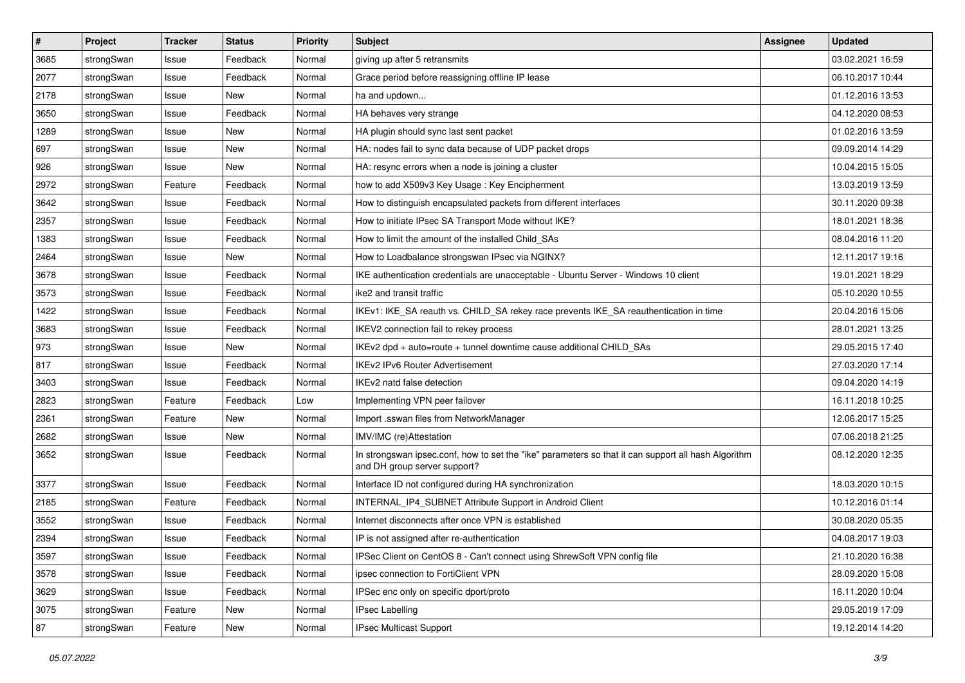| $\vert$ # | Project    | <b>Tracker</b> | <b>Status</b> | <b>Priority</b> | <b>Subject</b>                                                                                                                      | <b>Assignee</b> | <b>Updated</b>   |
|-----------|------------|----------------|---------------|-----------------|-------------------------------------------------------------------------------------------------------------------------------------|-----------------|------------------|
| 3685      | strongSwan | Issue          | Feedback      | Normal          | giving up after 5 retransmits                                                                                                       |                 | 03.02.2021 16:59 |
| 2077      | strongSwan | Issue          | Feedback      | Normal          | Grace period before reassigning offline IP lease                                                                                    |                 | 06.10.2017 10:44 |
| 2178      | strongSwan | Issue          | New           | Normal          | ha and updown                                                                                                                       |                 | 01.12.2016 13:53 |
| 3650      | strongSwan | Issue          | Feedback      | Normal          | HA behaves very strange                                                                                                             |                 | 04.12.2020 08:53 |
| 1289      | strongSwan | Issue          | New           | Normal          | HA plugin should sync last sent packet                                                                                              |                 | 01.02.2016 13:59 |
| 697       | strongSwan | Issue          | New           | Normal          | HA: nodes fail to sync data because of UDP packet drops                                                                             |                 | 09.09.2014 14:29 |
| 926       | strongSwan | Issue          | New           | Normal          | HA: resync errors when a node is joining a cluster                                                                                  |                 | 10.04.2015 15:05 |
| 2972      | strongSwan | Feature        | Feedback      | Normal          | how to add X509v3 Key Usage: Key Encipherment                                                                                       |                 | 13.03.2019 13:59 |
| 3642      | strongSwan | Issue          | Feedback      | Normal          | How to distinguish encapsulated packets from different interfaces                                                                   |                 | 30.11.2020 09:38 |
| 2357      | strongSwan | Issue          | Feedback      | Normal          | How to initiate IPsec SA Transport Mode without IKE?                                                                                |                 | 18.01.2021 18:36 |
| 1383      | strongSwan | Issue          | Feedback      | Normal          | How to limit the amount of the installed Child SAs                                                                                  |                 | 08.04.2016 11:20 |
| 2464      | strongSwan | Issue          | <b>New</b>    | Normal          | How to Loadbalance strongswan IPsec via NGINX?                                                                                      |                 | 12.11.2017 19:16 |
| 3678      | strongSwan | Issue          | Feedback      | Normal          | IKE authentication credentials are unacceptable - Ubuntu Server - Windows 10 client                                                 |                 | 19.01.2021 18:29 |
| 3573      | strongSwan | Issue          | Feedback      | Normal          | ike2 and transit traffic                                                                                                            |                 | 05.10.2020 10:55 |
| 1422      | strongSwan | Issue          | Feedback      | Normal          | IKEv1: IKE_SA reauth vs. CHILD_SA rekey race prevents IKE_SA reauthentication in time                                               |                 | 20.04.2016 15:06 |
| 3683      | strongSwan | Issue          | Feedback      | Normal          | IKEV2 connection fail to rekey process                                                                                              |                 | 28.01.2021 13:25 |
| 973       | strongSwan | Issue          | New           | Normal          | IKEv2 dpd + auto=route + tunnel downtime cause additional CHILD_SAs                                                                 |                 | 29.05.2015 17:40 |
| 817       | strongSwan | Issue          | Feedback      | Normal          | <b>IKEv2 IPv6 Router Advertisement</b>                                                                                              |                 | 27.03.2020 17:14 |
| 3403      | strongSwan | Issue          | Feedback      | Normal          | IKEv2 natd false detection                                                                                                          |                 | 09.04.2020 14:19 |
| 2823      | strongSwan | Feature        | Feedback      | Low             | Implementing VPN peer failover                                                                                                      |                 | 16.11.2018 10:25 |
| 2361      | strongSwan | Feature        | New           | Normal          | Import .sswan files from NetworkManager                                                                                             |                 | 12.06.2017 15:25 |
| 2682      | strongSwan | Issue          | New           | Normal          | IMV/IMC (re)Attestation                                                                                                             |                 | 07.06.2018 21:25 |
| 3652      | strongSwan | Issue          | Feedback      | Normal          | In strongswan ipsec.conf, how to set the "ike" parameters so that it can support all hash Algorithm<br>and DH group server support? |                 | 08.12.2020 12:35 |
| 3377      | strongSwan | Issue          | Feedback      | Normal          | Interface ID not configured during HA synchronization                                                                               |                 | 18.03.2020 10:15 |
| 2185      | strongSwan | Feature        | Feedback      | Normal          | INTERNAL IP4 SUBNET Attribute Support in Android Client                                                                             |                 | 10.12.2016 01:14 |
| 3552      | strongSwan | Issue          | Feedback      | Normal          | Internet disconnects after once VPN is established                                                                                  |                 | 30.08.2020 05:35 |
| 2394      | strongSwan | Issue          | Feedback      | Normal          | IP is not assigned after re-authentication                                                                                          |                 | 04.08.2017 19:03 |
| 3597      | strongSwan | Issue          | Feedback      | Normal          | IPSec Client on CentOS 8 - Can't connect using ShrewSoft VPN config file                                                            |                 | 21.10.2020 16:38 |
| 3578      | strongSwan | Issue          | Feedback      | Normal          | ipsec connection to FortiClient VPN                                                                                                 |                 | 28.09.2020 15:08 |
| 3629      | strongSwan | Issue          | Feedback      | Normal          | IPSec enc only on specific dport/proto                                                                                              |                 | 16.11.2020 10:04 |
| 3075      | strongSwan | Feature        | New           | Normal          | <b>IPsec Labelling</b>                                                                                                              |                 | 29.05.2019 17:09 |
| 87        | strongSwan | Feature        | New           | Normal          | IPsec Multicast Support                                                                                                             |                 | 19.12.2014 14:20 |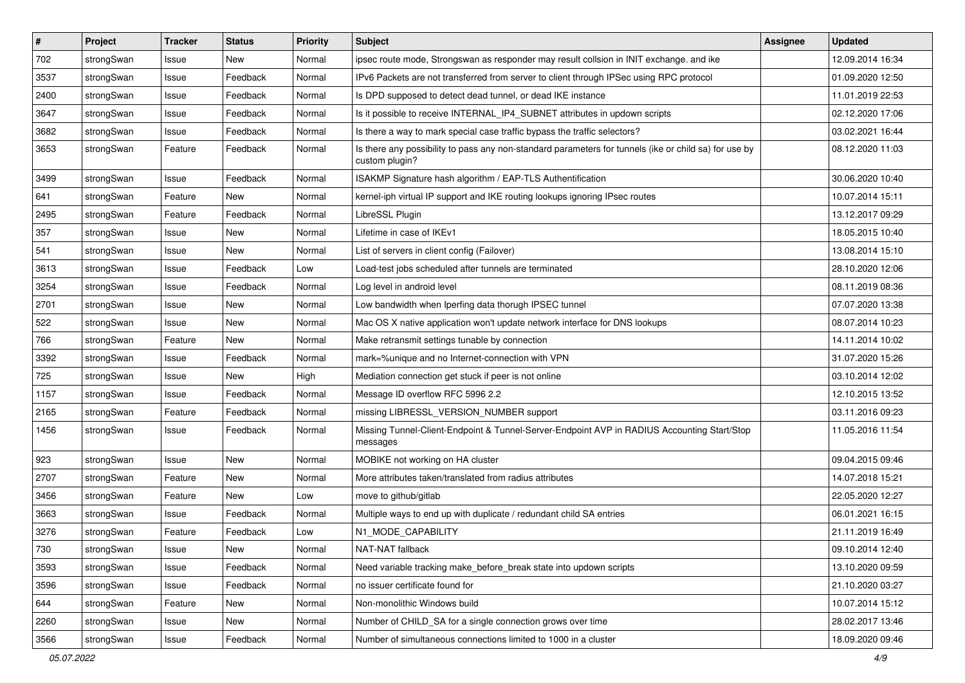| $\vert$ # | Project    | <b>Tracker</b> | <b>Status</b> | <b>Priority</b> | <b>Subject</b>                                                                                                          | Assignee | <b>Updated</b>   |
|-----------|------------|----------------|---------------|-----------------|-------------------------------------------------------------------------------------------------------------------------|----------|------------------|
| 702       | strongSwan | Issue          | New           | Normal          | ipsec route mode, Strongswan as responder may result collsion in INIT exchange. and ike                                 |          | 12.09.2014 16:34 |
| 3537      | strongSwan | Issue          | Feedback      | Normal          | IPv6 Packets are not transferred from server to client through IPSec using RPC protocol                                 |          | 01.09.2020 12:50 |
| 2400      | strongSwan | Issue          | Feedback      | Normal          | Is DPD supposed to detect dead tunnel, or dead IKE instance                                                             |          | 11.01.2019 22:53 |
| 3647      | strongSwan | Issue          | Feedback      | Normal          | Is it possible to receive INTERNAL_IP4_SUBNET attributes in updown scripts                                              |          | 02.12.2020 17:06 |
| 3682      | strongSwan | Issue          | Feedback      | Normal          | Is there a way to mark special case traffic bypass the traffic selectors?                                               |          | 03.02.2021 16:44 |
| 3653      | strongSwan | Feature        | Feedback      | Normal          | Is there any possibility to pass any non-standard parameters for tunnels (ike or child sa) for use by<br>custom plugin? |          | 08.12.2020 11:03 |
| 3499      | strongSwan | Issue          | Feedback      | Normal          | ISAKMP Signature hash algorithm / EAP-TLS Authentification                                                              |          | 30.06.2020 10:40 |
| 641       | strongSwan | Feature        | New           | Normal          | kernel-iph virtual IP support and IKE routing lookups ignoring IPsec routes                                             |          | 10.07.2014 15:11 |
| 2495      | strongSwan | Feature        | Feedback      | Normal          | LibreSSL Plugin                                                                                                         |          | 13.12.2017 09:29 |
| 357       | strongSwan | Issue          | New           | Normal          | Lifetime in case of IKEv1                                                                                               |          | 18.05.2015 10:40 |
| 541       | strongSwan | Issue          | <b>New</b>    | Normal          | List of servers in client config (Failover)                                                                             |          | 13.08.2014 15:10 |
| 3613      | strongSwan | Issue          | Feedback      | Low             | Load-test jobs scheduled after tunnels are terminated                                                                   |          | 28.10.2020 12:06 |
| 3254      | strongSwan | Issue          | Feedback      | Normal          | Log level in android level                                                                                              |          | 08.11.2019 08:36 |
| 2701      | strongSwan | Issue          | New           | Normal          | Low bandwidth when Iperfing data thorugh IPSEC tunnel                                                                   |          | 07.07.2020 13:38 |
| 522       | strongSwan | Issue          | <b>New</b>    | Normal          | Mac OS X native application won't update network interface for DNS lookups                                              |          | 08.07.2014 10:23 |
| 766       | strongSwan | Feature        | New           | Normal          | Make retransmit settings tunable by connection                                                                          |          | 14.11.2014 10:02 |
| 3392      | strongSwan | Issue          | Feedback      | Normal          | mark=%unique and no Internet-connection with VPN                                                                        |          | 31.07.2020 15:26 |
| 725       | strongSwan | Issue          | New           | High            | Mediation connection get stuck if peer is not online                                                                    |          | 03.10.2014 12:02 |
| 1157      | strongSwan | Issue          | Feedback      | Normal          | Message ID overflow RFC 5996 2.2                                                                                        |          | 12.10.2015 13:52 |
| 2165      | strongSwan | Feature        | Feedback      | Normal          | missing LIBRESSL_VERSION_NUMBER support                                                                                 |          | 03.11.2016 09:23 |
| 1456      | strongSwan | Issue          | Feedback      | Normal          | Missing Tunnel-Client-Endpoint & Tunnel-Server-Endpoint AVP in RADIUS Accounting Start/Stop<br>messages                 |          | 11.05.2016 11:54 |
| 923       | strongSwan | Issue          | New           | Normal          | MOBIKE not working on HA cluster                                                                                        |          | 09.04.2015 09:46 |
| 2707      | strongSwan | Feature        | <b>New</b>    | Normal          | More attributes taken/translated from radius attributes                                                                 |          | 14.07.2018 15:21 |
| 3456      | strongSwan | Feature        | New           | Low             | move to github/gitlab                                                                                                   |          | 22.05.2020 12:27 |
| 3663      | strongSwan | Issue          | Feedback      | Normal          | Multiple ways to end up with duplicate / redundant child SA entries                                                     |          | 06.01.2021 16:15 |
| 3276      | strongSwan | Feature        | Feedback      | Low             | N1_MODE_CAPABILITY                                                                                                      |          | 21.11.2019 16:49 |
| 730       | strongSwan | Issue          | New           | Normal          | NAT-NAT fallback                                                                                                        |          | 09.10.2014 12:40 |
| 3593      | strongSwan | Issue          | Feedback      | Normal          | Need variable tracking make_before_break state into updown scripts                                                      |          | 13.10.2020 09:59 |
| 3596      | strongSwan | Issue          | Feedback      | Normal          | no issuer certificate found for                                                                                         |          | 21.10.2020 03:27 |
| 644       | strongSwan | Feature        | New           | Normal          | Non-monolithic Windows build                                                                                            |          | 10.07.2014 15:12 |
| 2260      | strongSwan | Issue          | New           | Normal          | Number of CHILD_SA for a single connection grows over time                                                              |          | 28.02.2017 13:46 |
| 3566      | strongSwan | Issue          | Feedback      | Normal          | Number of simultaneous connections limited to 1000 in a cluster                                                         |          | 18.09.2020 09:46 |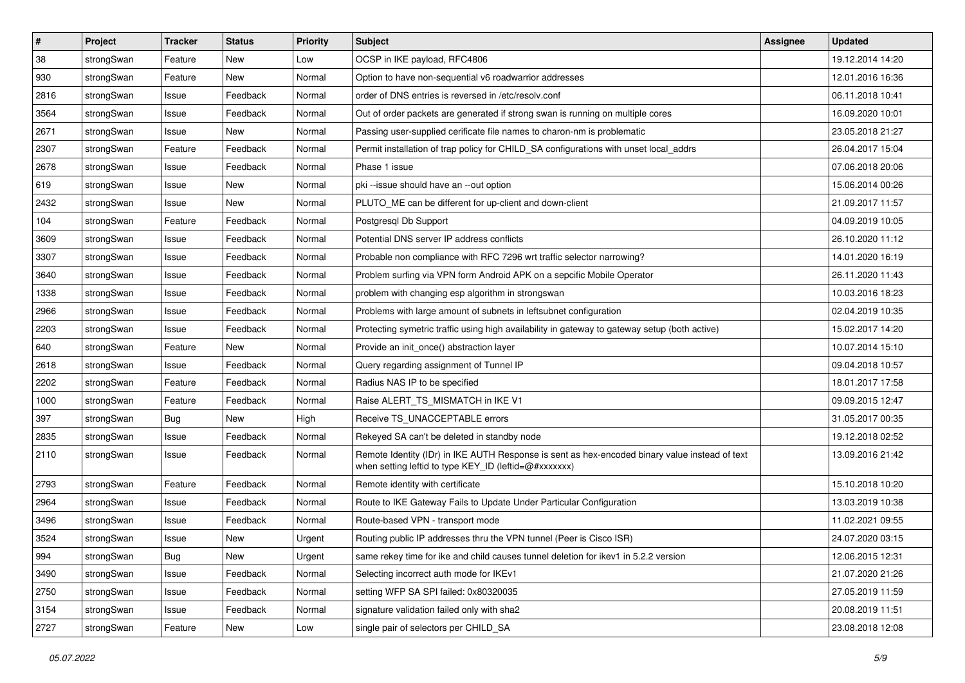| $\pmb{\#}$ | Project    | <b>Tracker</b> | <b>Status</b> | <b>Priority</b> | <b>Subject</b>                                                                                                                                          | <b>Assignee</b> | <b>Updated</b>   |
|------------|------------|----------------|---------------|-----------------|---------------------------------------------------------------------------------------------------------------------------------------------------------|-----------------|------------------|
| 38         | strongSwan | Feature        | New           | Low             | OCSP in IKE payload, RFC4806                                                                                                                            |                 | 19.12.2014 14:20 |
| 930        | strongSwan | Feature        | New           | Normal          | Option to have non-sequential v6 roadwarrior addresses                                                                                                  |                 | 12.01.2016 16:36 |
| 2816       | strongSwan | Issue          | Feedback      | Normal          | order of DNS entries is reversed in /etc/resolv.conf                                                                                                    |                 | 06.11.2018 10:41 |
| 3564       | strongSwan | Issue          | Feedback      | Normal          | Out of order packets are generated if strong swan is running on multiple cores                                                                          |                 | 16.09.2020 10:01 |
| 2671       | strongSwan | Issue          | New           | Normal          | Passing user-supplied cerificate file names to charon-nm is problematic                                                                                 |                 | 23.05.2018 21:27 |
| 2307       | strongSwan | Feature        | Feedback      | Normal          | Permit installation of trap policy for CHILD_SA configurations with unset local_addrs                                                                   |                 | 26.04.2017 15:04 |
| 2678       | strongSwan | Issue          | Feedback      | Normal          | Phase 1 issue                                                                                                                                           |                 | 07.06.2018 20:06 |
| 619        | strongSwan | Issue          | New           | Normal          | pki --issue should have an --out option                                                                                                                 |                 | 15.06.2014 00:26 |
| 2432       | strongSwan | lssue          | New           | Normal          | PLUTO_ME can be different for up-client and down-client                                                                                                 |                 | 21.09.2017 11:57 |
| 104        | strongSwan | Feature        | Feedback      | Normal          | Postgresql Db Support                                                                                                                                   |                 | 04.09.2019 10:05 |
| 3609       | strongSwan | Issue          | Feedback      | Normal          | Potential DNS server IP address conflicts                                                                                                               |                 | 26.10.2020 11:12 |
| 3307       | strongSwan | Issue          | Feedback      | Normal          | Probable non compliance with RFC 7296 wrt traffic selector narrowing?                                                                                   |                 | 14.01.2020 16:19 |
| 3640       | strongSwan | Issue          | Feedback      | Normal          | Problem surfing via VPN form Android APK on a sepcific Mobile Operator                                                                                  |                 | 26.11.2020 11:43 |
| 1338       | strongSwan | Issue          | Feedback      | Normal          | problem with changing esp algorithm in strongswan                                                                                                       |                 | 10.03.2016 18:23 |
| 2966       | strongSwan | Issue          | Feedback      | Normal          | Problems with large amount of subnets in leftsubnet configuration                                                                                       |                 | 02.04.2019 10:35 |
| 2203       | strongSwan | Issue          | Feedback      | Normal          | Protecting symetric traffic using high availability in gateway to gateway setup (both active)                                                           |                 | 15.02.2017 14:20 |
| 640        | strongSwan | Feature        | New           | Normal          | Provide an init_once() abstraction layer                                                                                                                |                 | 10.07.2014 15:10 |
| 2618       | strongSwan | Issue          | Feedback      | Normal          | Query regarding assignment of Tunnel IP                                                                                                                 |                 | 09.04.2018 10:57 |
| 2202       | strongSwan | Feature        | Feedback      | Normal          | Radius NAS IP to be specified                                                                                                                           |                 | 18.01.2017 17:58 |
| 1000       | strongSwan | Feature        | Feedback      | Normal          | Raise ALERT_TS_MISMATCH in IKE V1                                                                                                                       |                 | 09.09.2015 12:47 |
| 397        | strongSwan | Bug            | New           | High            | Receive TS_UNACCEPTABLE errors                                                                                                                          |                 | 31.05.2017 00:35 |
| 2835       | strongSwan | Issue          | Feedback      | Normal          | Rekeyed SA can't be deleted in standby node                                                                                                             |                 | 19.12.2018 02:52 |
| 2110       | strongSwan | Issue          | Feedback      | Normal          | Remote Identity (IDr) in IKE AUTH Response is sent as hex-encoded binary value instead of text<br>when setting leftid to type KEY_ID (leftid=@#xxxxxxx) |                 | 13.09.2016 21:42 |
| 2793       | strongSwan | Feature        | Feedback      | Normal          | Remote identity with certificate                                                                                                                        |                 | 15.10.2018 10:20 |
| 2964       | strongSwan | Issue          | Feedback      | Normal          | Route to IKE Gateway Fails to Update Under Particular Configuration                                                                                     |                 | 13.03.2019 10:38 |
| 3496       | strongSwan | Issue          | Feedback      | Normal          | Route-based VPN - transport mode                                                                                                                        |                 | 11.02.2021 09:55 |
| 3524       | strongSwan | Issue          | New           | Urgent          | Routing public IP addresses thru the VPN tunnel (Peer is Cisco ISR)                                                                                     |                 | 24.07.2020 03:15 |
| 994        | strongSwan | <b>Bug</b>     | New           | Urgent          | same rekey time for ike and child causes tunnel deletion for ikev1 in 5.2.2 version                                                                     |                 | 12.06.2015 12:31 |
| 3490       | strongSwan | Issue          | Feedback      | Normal          | Selecting incorrect auth mode for IKEv1                                                                                                                 |                 | 21.07.2020 21:26 |
| 2750       | strongSwan | Issue          | Feedback      | Normal          | setting WFP SA SPI failed: 0x80320035                                                                                                                   |                 | 27.05.2019 11:59 |
| 3154       | strongSwan | Issue          | Feedback      | Normal          | signature validation failed only with sha2                                                                                                              |                 | 20.08.2019 11:51 |
| 2727       | strongSwan | Feature        | New           | Low             | single pair of selectors per CHILD_SA                                                                                                                   |                 | 23.08.2018 12:08 |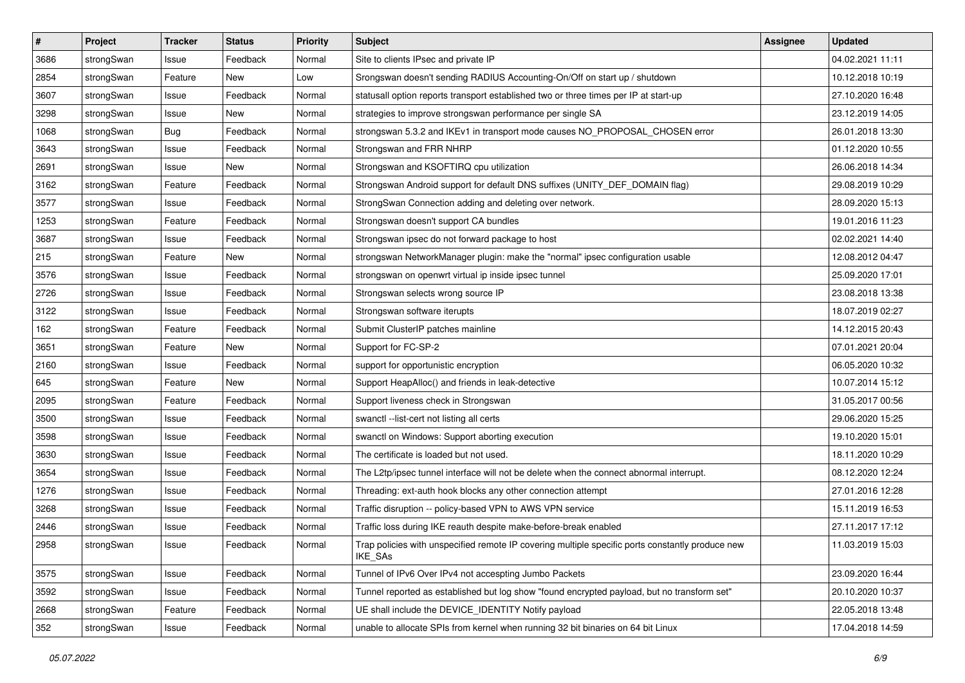| $\sharp$ | Project    | <b>Tracker</b> | <b>Status</b> | <b>Priority</b> | <b>Subject</b>                                                                                                     | <b>Assignee</b> | <b>Updated</b>   |
|----------|------------|----------------|---------------|-----------------|--------------------------------------------------------------------------------------------------------------------|-----------------|------------------|
| 3686     | strongSwan | Issue          | Feedback      | Normal          | Site to clients IPsec and private IP                                                                               |                 | 04.02.2021 11:11 |
| 2854     | strongSwan | Feature        | New           | Low             | Srongswan doesn't sending RADIUS Accounting-On/Off on start up / shutdown                                          |                 | 10.12.2018 10:19 |
| 3607     | strongSwan | Issue          | Feedback      | Normal          | statusall option reports transport established two or three times per IP at start-up                               |                 | 27.10.2020 16:48 |
| 3298     | strongSwan | Issue          | New           | Normal          | strategies to improve strongswan performance per single SA                                                         |                 | 23.12.2019 14:05 |
| 1068     | strongSwan | <b>Bug</b>     | Feedback      | Normal          | strongswan 5.3.2 and IKEv1 in transport mode causes NO_PROPOSAL_CHOSEN error                                       |                 | 26.01.2018 13:30 |
| 3643     | strongSwan | Issue          | Feedback      | Normal          | Strongswan and FRR NHRP                                                                                            |                 | 01.12.2020 10:55 |
| 2691     | strongSwan | Issue          | New           | Normal          | Strongswan and KSOFTIRQ cpu utilization                                                                            |                 | 26.06.2018 14:34 |
| 3162     | strongSwan | Feature        | Feedback      | Normal          | Strongswan Android support for default DNS suffixes (UNITY_DEF_DOMAIN flag)                                        |                 | 29.08.2019 10:29 |
| 3577     | strongSwan | Issue          | Feedback      | Normal          | StrongSwan Connection adding and deleting over network.                                                            |                 | 28.09.2020 15:13 |
| 1253     | strongSwan | Feature        | Feedback      | Normal          | Strongswan doesn't support CA bundles                                                                              |                 | 19.01.2016 11:23 |
| 3687     | strongSwan | Issue          | Feedback      | Normal          | Strongswan ipsec do not forward package to host                                                                    |                 | 02.02.2021 14:40 |
| 215      | strongSwan | Feature        | New           | Normal          | strongswan NetworkManager plugin: make the "normal" ipsec configuration usable                                     |                 | 12.08.2012 04:47 |
| 3576     | strongSwan | Issue          | Feedback      | Normal          | strongswan on openwrt virtual ip inside ipsec tunnel                                                               |                 | 25.09.2020 17:01 |
| 2726     | strongSwan | Issue          | Feedback      | Normal          | Strongswan selects wrong source IP                                                                                 |                 | 23.08.2018 13:38 |
| 3122     | strongSwan | Issue          | Feedback      | Normal          | Strongswan software iterupts                                                                                       |                 | 18.07.2019 02:27 |
| 162      | strongSwan | Feature        | Feedback      | Normal          | Submit ClusterIP patches mainline                                                                                  |                 | 14.12.2015 20:43 |
| 3651     | strongSwan | Feature        | New           | Normal          | Support for FC-SP-2                                                                                                |                 | 07.01.2021 20:04 |
| 2160     | strongSwan | Issue          | Feedback      | Normal          | support for opportunistic encryption                                                                               |                 | 06.05.2020 10:32 |
| 645      | strongSwan | Feature        | New           | Normal          | Support HeapAlloc() and friends in leak-detective                                                                  |                 | 10.07.2014 15:12 |
| 2095     | strongSwan | Feature        | Feedback      | Normal          | Support liveness check in Strongswan                                                                               |                 | 31.05.2017 00:56 |
| 3500     | strongSwan | Issue          | Feedback      | Normal          | swanctl --list-cert not listing all certs                                                                          |                 | 29.06.2020 15:25 |
| 3598     | strongSwan | Issue          | Feedback      | Normal          | swanctl on Windows: Support aborting execution                                                                     |                 | 19.10.2020 15:01 |
| 3630     | strongSwan | Issue          | Feedback      | Normal          | The certificate is loaded but not used.                                                                            |                 | 18.11.2020 10:29 |
| 3654     | strongSwan | Issue          | Feedback      | Normal          | The L2tp/ipsec tunnel interface will not be delete when the connect abnormal interrupt.                            |                 | 08.12.2020 12:24 |
| 1276     | strongSwan | Issue          | Feedback      | Normal          | Threading: ext-auth hook blocks any other connection attempt                                                       |                 | 27.01.2016 12:28 |
| 3268     | strongSwan | Issue          | Feedback      | Normal          | Traffic disruption -- policy-based VPN to AWS VPN service                                                          |                 | 15.11.2019 16:53 |
| 2446     | strongSwan | Issue          | Feedback      | Normal          | Traffic loss during IKE reauth despite make-before-break enabled                                                   |                 | 27.11.2017 17:12 |
| 2958     | strongSwan | Issue          | Feedback      | Normal          | Trap policies with unspecified remote IP covering multiple specific ports constantly produce new<br><b>IKE SAs</b> |                 | 11.03.2019 15:03 |
| 3575     | strongSwan | Issue          | Feedback      | Normal          | Tunnel of IPv6 Over IPv4 not accespting Jumbo Packets                                                              |                 | 23.09.2020 16:44 |
| 3592     | strongSwan | Issue          | Feedback      | Normal          | Tunnel reported as established but log show "found encrypted payload, but no transform set"                        |                 | 20.10.2020 10:37 |
| 2668     | strongSwan | Feature        | Feedback      | Normal          | UE shall include the DEVICE_IDENTITY Notify payload                                                                |                 | 22.05.2018 13:48 |
| 352      | strongSwan | Issue          | Feedback      | Normal          | unable to allocate SPIs from kernel when running 32 bit binaries on 64 bit Linux                                   |                 | 17.04.2018 14:59 |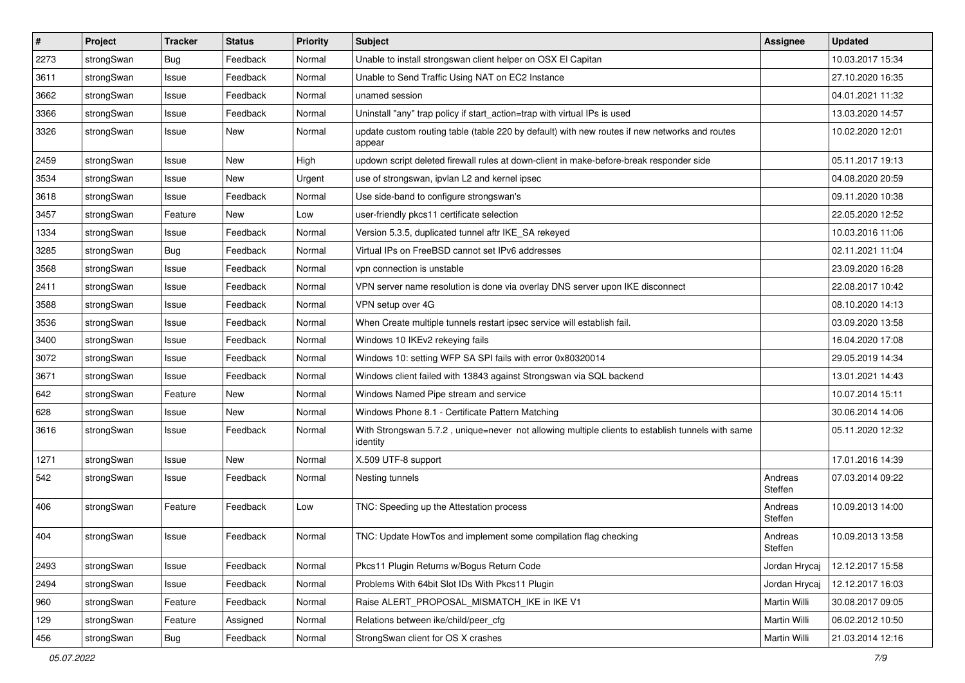| $\vert$ # | Project    | <b>Tracker</b> | <b>Status</b> | Priority | <b>Subject</b>                                                                                               | <b>Assignee</b>    | <b>Updated</b>   |
|-----------|------------|----------------|---------------|----------|--------------------------------------------------------------------------------------------------------------|--------------------|------------------|
| 2273      | strongSwan | <b>Bug</b>     | Feedback      | Normal   | Unable to install strongswan client helper on OSX El Capitan                                                 |                    | 10.03.2017 15:34 |
| 3611      | strongSwan | Issue          | Feedback      | Normal   | Unable to Send Traffic Using NAT on EC2 Instance                                                             |                    | 27.10.2020 16:35 |
| 3662      | strongSwan | Issue          | Feedback      | Normal   | unamed session                                                                                               |                    | 04.01.2021 11:32 |
| 3366      | strongSwan | Issue          | Feedback      | Normal   | Uninstall "any" trap policy if start_action=trap with virtual IPs is used                                    |                    | 13.03.2020 14:57 |
| 3326      | strongSwan | Issue          | <b>New</b>    | Normal   | update custom routing table (table 220 by default) with new routes if new networks and routes<br>appear      |                    | 10.02.2020 12:01 |
| 2459      | strongSwan | Issue          | <b>New</b>    | High     | updown script deleted firewall rules at down-client in make-before-break responder side                      |                    | 05.11.2017 19:13 |
| 3534      | strongSwan | Issue          | <b>New</b>    | Urgent   | use of strongswan, ipvlan L2 and kernel ipsec                                                                |                    | 04.08.2020 20:59 |
| 3618      | strongSwan | Issue          | Feedback      | Normal   | Use side-band to configure strongswan's                                                                      |                    | 09.11.2020 10:38 |
| 3457      | strongSwan | Feature        | New           | Low      | user-friendly pkcs11 certificate selection                                                                   |                    | 22.05.2020 12:52 |
| 1334      | strongSwan | Issue          | Feedback      | Normal   | Version 5.3.5, duplicated tunnel aftr IKE_SA rekeyed                                                         |                    | 10.03.2016 11:06 |
| 3285      | strongSwan | <b>Bug</b>     | Feedback      | Normal   | Virtual IPs on FreeBSD cannot set IPv6 addresses                                                             |                    | 02.11.2021 11:04 |
| 3568      | strongSwan | Issue          | Feedback      | Normal   | vpn connection is unstable                                                                                   |                    | 23.09.2020 16:28 |
| 2411      | strongSwan | Issue          | Feedback      | Normal   | VPN server name resolution is done via overlay DNS server upon IKE disconnect                                |                    | 22.08.2017 10:42 |
| 3588      | strongSwan | Issue          | Feedback      | Normal   | VPN setup over 4G                                                                                            |                    | 08.10.2020 14:13 |
| 3536      | strongSwan | Issue          | Feedback      | Normal   | When Create multiple tunnels restart ipsec service will establish fail.                                      |                    | 03.09.2020 13:58 |
| 3400      | strongSwan | Issue          | Feedback      | Normal   | Windows 10 IKEv2 rekeying fails                                                                              |                    | 16.04.2020 17:08 |
| 3072      | strongSwan | Issue          | Feedback      | Normal   | Windows 10: setting WFP SA SPI fails with error 0x80320014                                                   |                    | 29.05.2019 14:34 |
| 3671      | strongSwan | Issue          | Feedback      | Normal   | Windows client failed with 13843 against Strongswan via SQL backend                                          |                    | 13.01.2021 14:43 |
| 642       | strongSwan | Feature        | New           | Normal   | Windows Named Pipe stream and service                                                                        |                    | 10.07.2014 15:11 |
| 628       | strongSwan | Issue          | New           | Normal   | Windows Phone 8.1 - Certificate Pattern Matching                                                             |                    | 30.06.2014 14:06 |
| 3616      | strongSwan | Issue          | Feedback      | Normal   | With Strongswan 5.7.2, unique=never not allowing multiple clients to establish tunnels with same<br>identity |                    | 05.11.2020 12:32 |
| 1271      | strongSwan | Issue          | <b>New</b>    | Normal   | X.509 UTF-8 support                                                                                          |                    | 17.01.2016 14:39 |
| 542       | strongSwan | Issue          | Feedback      | Normal   | Nesting tunnels                                                                                              | Andreas<br>Steffen | 07.03.2014 09:22 |
| 406       | strongSwan | Feature        | Feedback      | Low      | TNC: Speeding up the Attestation process                                                                     | Andreas<br>Steffen | 10.09.2013 14:00 |
| 404       | strongSwan | Issue          | Feedback      | Normal   | TNC: Update HowTos and implement some compilation flag checking                                              | Andreas<br>Steffen | 10.09.2013 13:58 |
| 2493      | strongSwan | Issue          | Feedback      | Normal   | Pkcs11 Plugin Returns w/Bogus Return Code                                                                    | Jordan Hrycaj      | 12.12.2017 15:58 |
| 2494      | strongSwan | Issue          | Feedback      | Normal   | Problems With 64bit Slot IDs With Pkcs11 Plugin                                                              | Jordan Hrycaj      | 12.12.2017 16:03 |
| 960       | strongSwan | Feature        | Feedback      | Normal   | Raise ALERT_PROPOSAL_MISMATCH_IKE in IKE V1                                                                  | Martin Willi       | 30.08.2017 09:05 |
| 129       | strongSwan | Feature        | Assigned      | Normal   | Relations between ike/child/peer cfg                                                                         | Martin Willi       | 06.02.2012 10:50 |
| 456       | strongSwan | Bug            | Feedback      | Normal   | StrongSwan client for OS X crashes                                                                           | Martin Willi       | 21.03.2014 12:16 |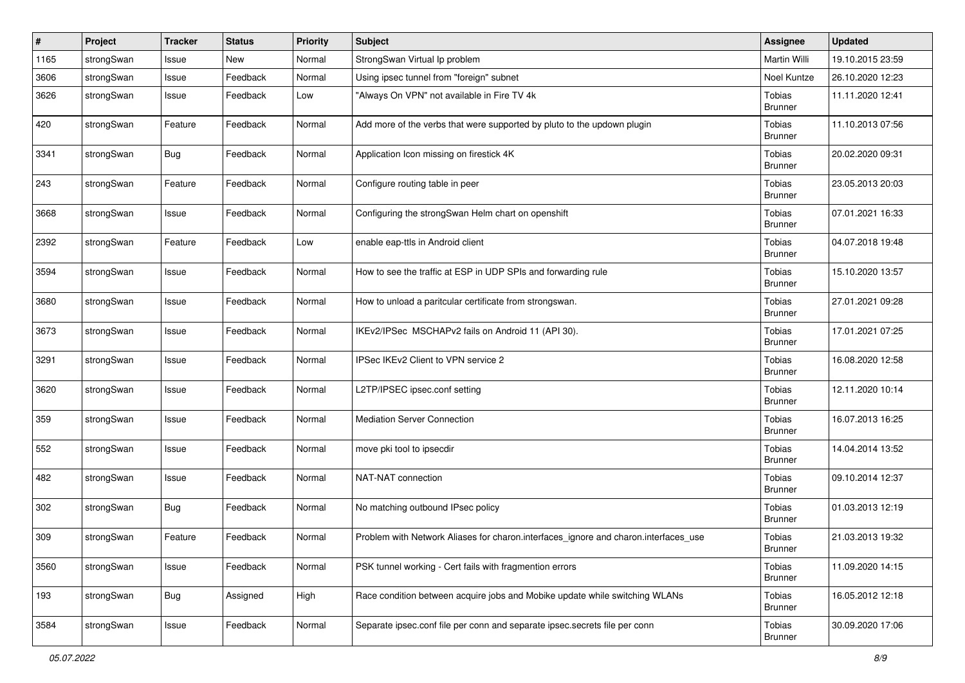| $\#$ | Project    | Tracker | <b>Status</b> | Priority | Subject                                                                             | <b>Assignee</b>          | <b>Updated</b>   |
|------|------------|---------|---------------|----------|-------------------------------------------------------------------------------------|--------------------------|------------------|
| 1165 | strongSwan | Issue   | New           | Normal   | StrongSwan Virtual Ip problem                                                       | Martin Willi             | 19.10.2015 23:59 |
| 3606 | strongSwan | Issue   | Feedback      | Normal   | Using ipsec tunnel from "foreign" subnet                                            | Noel Kuntze              | 26.10.2020 12:23 |
| 3626 | strongSwan | Issue   | Feedback      | Low      | "Always On VPN" not available in Fire TV 4k                                         | Tobias<br><b>Brunner</b> | 11.11.2020 12:41 |
| 420  | strongSwan | Feature | Feedback      | Normal   | Add more of the verbs that were supported by pluto to the updown plugin             | Tobias<br><b>Brunner</b> | 11.10.2013 07:56 |
| 3341 | strongSwan | Bug     | Feedback      | Normal   | Application Icon missing on firestick 4K                                            | Tobias<br><b>Brunner</b> | 20.02.2020 09:31 |
| 243  | strongSwan | Feature | Feedback      | Normal   | Configure routing table in peer                                                     | Tobias<br><b>Brunner</b> | 23.05.2013 20:03 |
| 3668 | strongSwan | Issue   | Feedback      | Normal   | Configuring the strongSwan Helm chart on openshift                                  | Tobias<br><b>Brunner</b> | 07.01.2021 16:33 |
| 2392 | strongSwan | Feature | Feedback      | Low      | enable eap-ttls in Android client                                                   | Tobias<br><b>Brunner</b> | 04.07.2018 19:48 |
| 3594 | strongSwan | Issue   | Feedback      | Normal   | How to see the traffic at ESP in UDP SPIs and forwarding rule                       | Tobias<br><b>Brunner</b> | 15.10.2020 13:57 |
| 3680 | strongSwan | Issue   | Feedback      | Normal   | How to unload a paritcular certificate from strongswan.                             | Tobias<br><b>Brunner</b> | 27.01.2021 09:28 |
| 3673 | strongSwan | Issue   | Feedback      | Normal   | IKEv2/IPSec MSCHAPv2 fails on Android 11 (API 30).                                  | Tobias<br><b>Brunner</b> | 17.01.2021 07:25 |
| 3291 | strongSwan | Issue   | Feedback      | Normal   | IPSec IKEv2 Client to VPN service 2                                                 | Tobias<br><b>Brunner</b> | 16.08.2020 12:58 |
| 3620 | strongSwan | Issue   | Feedback      | Normal   | L2TP/IPSEC ipsec.conf setting                                                       | Tobias<br><b>Brunner</b> | 12.11.2020 10:14 |
| 359  | strongSwan | Issue   | Feedback      | Normal   | <b>Mediation Server Connection</b>                                                  | Tobias<br><b>Brunner</b> | 16.07.2013 16:25 |
| 552  | strongSwan | Issue   | Feedback      | Normal   | move pki tool to ipsecdir                                                           | Tobias<br>Brunner        | 14.04.2014 13:52 |
| 482  | strongSwan | Issue   | Feedback      | Normal   | NAT-NAT connection                                                                  | Tobias<br>Brunner        | 09.10.2014 12:37 |
| 302  | strongSwan | Bug     | Feedback      | Normal   | No matching outbound IPsec policy                                                   | Tobias<br><b>Brunner</b> | 01.03.2013 12:19 |
| 309  | strongSwan | Feature | Feedback      | Normal   | Problem with Network Aliases for charon.interfaces_ignore and charon.interfaces_use | Tobias<br><b>Brunner</b> | 21.03.2013 19:32 |
| 3560 | strongSwan | Issue   | Feedback      | Normal   | PSK tunnel working - Cert fails with fragmention errors                             | Tobias<br><b>Brunner</b> | 11.09.2020 14:15 |
| 193  | strongSwan | Bug     | Assigned      | High     | Race condition between acquire jobs and Mobike update while switching WLANs         | Tobias<br><b>Brunner</b> | 16.05.2012 12:18 |
| 3584 | strongSwan | Issue   | Feedback      | Normal   | Separate ipsec.conf file per conn and separate ipsec.secrets file per conn          | Tobias<br><b>Brunner</b> | 30.09.2020 17:06 |